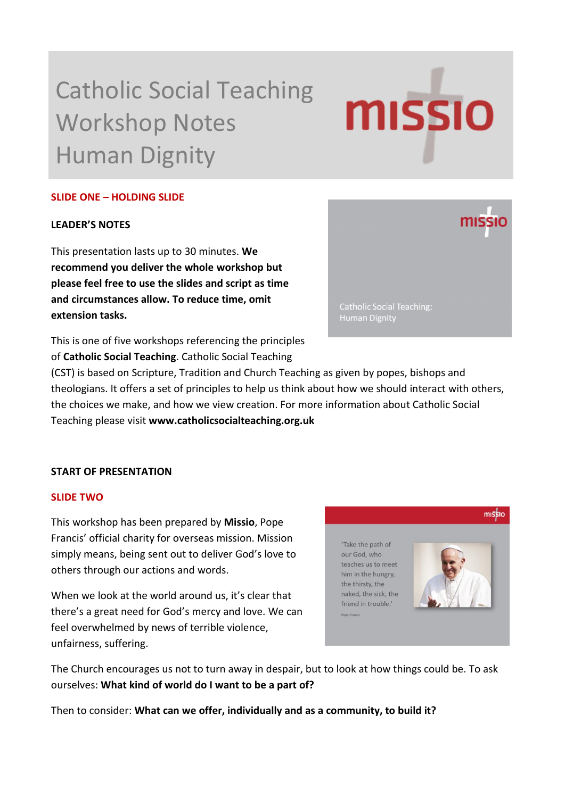# Catholic Social Teaching Workshop Notes Human Dignity

# **MISSIO**

# **SLIDE ONE – HOLDING SLIDE**

## **LEADER'S NOTES**

This presentation lasts up to 30 minutes. **We recommend you deliver the whole workshop but please feel free to use the slides and script as time and circumstances allow. To reduce time, omit extension tasks.**

This is one of five workshops referencing the principles of **Catholic Social Teaching**. Catholic Social Teaching

(CST) is based on Scripture, Tradition and Church Teaching as given by popes, bishops and theologians. It offers a set of principles to help us think about how we should interact with others, the choices we make, and how we view creation. For more information about Catholic Social Teaching please visit **www.catholicsocialteaching.org.uk** 

# **START OF PRESENTATION**

#### **SLIDE TWO**

This workshop has been prepared by **Missio**, Pope Francis' official charity for overseas mission. Mission simply means, being sent out to deliver God's love to others through our actions and words.

When we look at the world around us, it's clear that there's a great need for God's mercy and love. We can feel overwhelmed by news of terrible violence, unfairness, suffering.



The Church encourages us not to turn away in despair, but to look at how things could be. To ask ourselves: **What kind of world do I want to be a part of?**

Then to consider: **What can we offer, individually and as a community, to build it?**

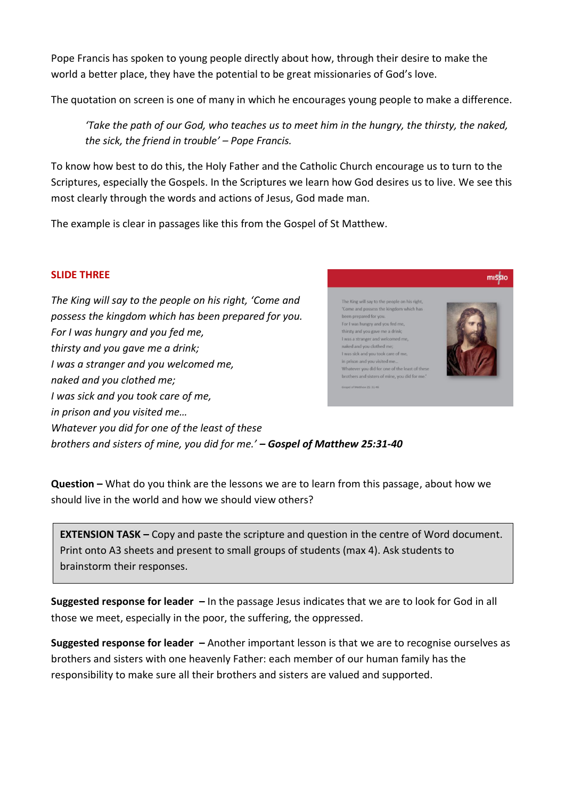Pope Francis has spoken to young people directly about how, through their desire to make the world a better place, they have the potential to be great missionaries of God's love.

The quotation on screen is one of many in which he encourages young people to make a difference.

*'Take the path of our God, who teaches us to meet him in the hungry, the thirsty, the naked, the sick, the friend in trouble' – Pope Francis.*

To know how best to do this, the Holy Father and the Catholic Church encourage us to turn to the Scriptures, especially the Gospels. In the Scriptures we learn how God desires us to live. We see this most clearly through the words and actions of Jesus, God made man.

The example is clear in passages like this from the Gospel of St Matthew.

# **SLIDE THREE**

*The King will say to the people on his right, 'Come and possess the kingdom which has been prepared for you. For I was hungry and you fed me, thirsty and you gave me a drink; I was a stranger and you welcomed me, naked and you clothed me; I was sick and you took care of me, in prison and you visited me… Whatever you did for one of the least of these brothers and sisters of mine, you did for me.' – Gospel of Matthew 25:31-40*



**Question –** What do you think are the lessons we are to learn from this passage, about how we should live in the world and how we should view others?

**EXTENSION TASK –** Copy and paste the scripture and question in the centre of Word document. Print onto A3 sheets and present to small groups of students (max 4). Ask students to brainstorm their responses.

**Suggested response for leader –** In the passage Jesus indicates that we are to look for God in all those we meet, especially in the poor, the suffering, the oppressed.

**Suggested response for leader –** Another important lesson is that we are to recognise ourselves as brothers and sisters with one heavenly Father: each member of our human family has the responsibility to make sure all their brothers and sisters are valued and supported.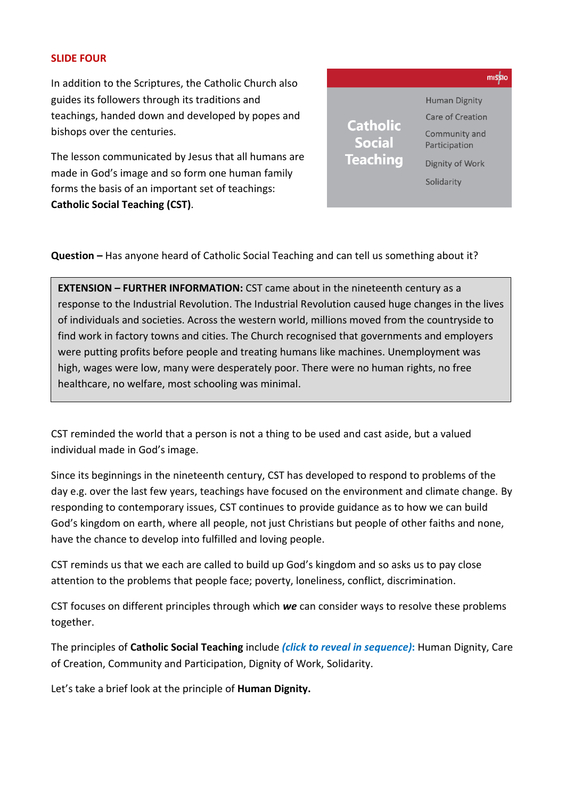#### **SLIDE FOUR**

In addition to the Scriptures, the Catholic Church also guides its followers through its traditions and teachings, handed down and developed by popes and bishops over the centuries.

The lesson communicated by Jesus that all humans are made in God's image and so form one human family forms the basis of an important set of teachings: **Catholic Social Teaching (CST)**.



**Question –** Has anyone heard of Catholic Social Teaching and can tell us something about it?

**EXTENSION – FURTHER INFORMATION:** CST came about in the nineteenth century as a response to the Industrial Revolution. The Industrial Revolution caused huge changes in the lives of individuals and societies. Across the western world, millions moved from the countryside to find work in factory towns and cities. The Church recognised that governments and employers were putting profits before people and treating humans like machines. Unemployment was high, wages were low, many were desperately poor. There were no human rights, no free healthcare, no welfare, most schooling was minimal.

CST reminded the world that a person is not a thing to be used and cast aside, but a valued individual made in God's image.

Since its beginnings in the nineteenth century, CST has developed to respond to problems of the day e.g. over the last few years, teachings have focused on the environment and climate change. By responding to contemporary issues, CST continues to provide guidance as to how we can build God's kingdom on earth, where all people, not just Christians but people of other faiths and none, have the chance to develop into fulfilled and loving people.

CST reminds us that we each are called to build up God's kingdom and so asks us to pay close attention to the problems that people face; poverty, loneliness, conflict, discrimination.

CST focuses on different principles through which *we* can consider ways to resolve these problems together.

The principles of **Catholic Social Teaching** include *(click to reveal in sequence)***:** Human Dignity, Care of Creation, Community and Participation, Dignity of Work, Solidarity.

Let's take a brief look at the principle of **Human Dignity.**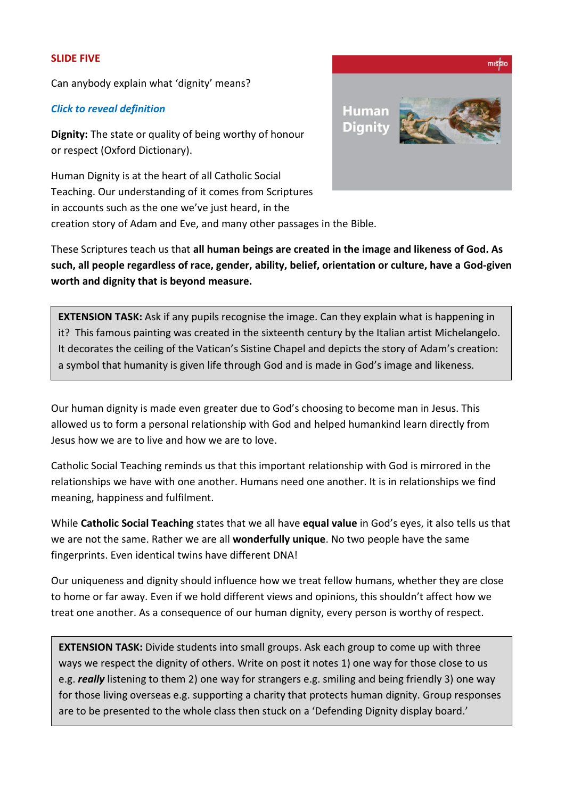#### **SLIDE FIVE**

Can anybody explain what 'dignity' means?

## *Click to reveal definition*

**Dignity:** The state or quality of being worthy of honour or respect (Oxford Dictionary).

Human Dignity is at the heart of all Catholic Social Teaching. Our understanding of it comes from Scriptures in accounts such as the one we've just heard, in the creation story of Adam and Eve, and many other passages in the Bible.



These Scriptures teach us that **all human beings are created in the image and likeness of God. As such, all people regardless of race, gender, ability, belief, orientation or culture, have a God-given worth and dignity that is beyond measure.** 

**EXTENSION TASK:** Ask if any pupils recognise the image. Can they explain what is happening in it? This famous painting was created in the sixteenth century by the Italian artist Michelangelo. It decorates the ceiling of the Vatican's Sistine Chapel and depicts the story of Adam's creation: a symbol that humanity is given life through God and is made in God's image and likeness.

Our human dignity is made even greater due to God's choosing to become man in Jesus. This allowed us to form a personal relationship with God and helped humankind learn directly from Jesus how we are to live and how we are to love.

Catholic Social Teaching reminds us that this important relationship with God is mirrored in the relationships we have with one another. Humans need one another. It is in relationships we find meaning, happiness and fulfilment.

While **Catholic Social Teaching** states that we all have **equal value** in God's eyes, it also tells us that we are not the same. Rather we are all **wonderfully unique**. No two people have the same fingerprints. Even identical twins have different DNA!

Our uniqueness and dignity should influence how we treat fellow humans, whether they are close to home or far away. Even if we hold different views and opinions, this shouldn't affect how we treat one another. As a consequence of our human dignity, every person is worthy of respect.

**EXTENSION TASK:** Divide students into small groups. Ask each group to come up with three ways we respect the dignity of others. Write on post it notes 1) one way for those close to us e.g. *really* listening to them 2) one way for strangers e.g. smiling and being friendly 3) one way for those living overseas e.g. supporting a charity that protects human dignity. Group responses are to be presented to the whole class then stuck on a 'Defending Dignity display board.'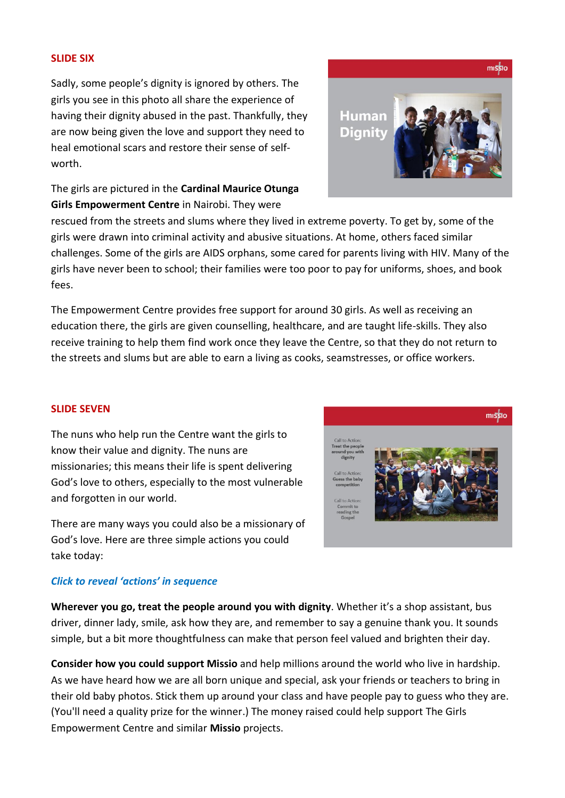#### **SLIDE SIX**

Sadly, some people's dignity is ignored by others. The girls you see in this photo all share the experience of having their dignity abused in the past. Thankfully, they are now being given the love and support they need to heal emotional scars and restore their sense of selfworth.



The girls are pictured in the **Cardinal Maurice Otunga Girls Empowerment Centre** in Nairobi. They were

rescued from the streets and slums where they lived in extreme poverty. To get by, some of the girls were drawn into criminal activity and abusive situations. At home, others faced similar challenges. Some of the girls are AIDS orphans, some cared for parents living with HIV. Many of the girls have never been to school; their families were too poor to pay for uniforms, shoes, and book fees.

The Empowerment Centre provides free support for around 30 girls. As well as receiving an education there, the girls are given counselling, healthcare, and are taught life-skills. They also receive training to help them find work once they leave the Centre, so that they do not return to the streets and slums but are able to earn a living as cooks, seamstresses, or office workers.

#### **SLIDE SEVEN**

The nuns who help run the Centre want the girls to know their value and dignity. The nuns are missionaries; this means their life is spent delivering God's love to others, especially to the most vulnerable and forgotten in our world.

There are many ways you could also be a missionary of God's love. Here are three simple actions you could take today:

#### *Click to reveal 'actions' in sequence*

**Wherever you go, treat the people around you with dignity**. Whether it's a shop assistant, bus driver, dinner lady, smile, ask how they are, and remember to say a genuine thank you. It sounds simple, but a bit more thoughtfulness can make that person feel valued and brighten their day.

**Consider how you could support Missio** and help millions around the world who live in hardship. As we have heard how we are all born unique and special, ask your friends or teachers to bring in their old baby photos. Stick them up around your class and have people pay to guess who they are. (You'll need a quality prize for the winner.) The money raised could help support The Girls Empowerment Centre and similar **Missio** projects.